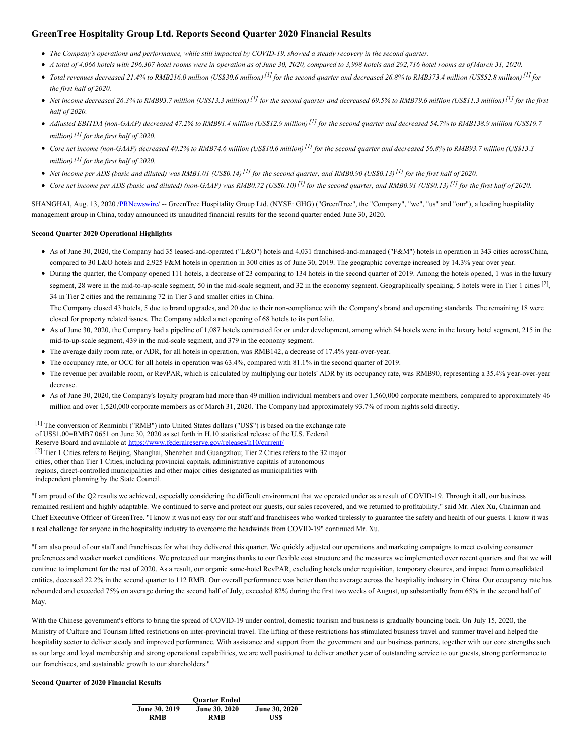# **GreenTree Hospitality Group Ltd. Reports Second Quarter 2020 Financial Results**

- The Company's operations and performance, while still impacted by COVID-19, showed a steady recovery in the second quarter.
- A total of 4,066 hotels with 296,307 hotel rooms were in operation as of June 30, 2020, compared to 3,998 hotels and 292,716 hotel rooms as of March 31, 2020.
- Total revenues decreased 21.4% to RMB216.0 million (US\$30.6 million) <sup>[1]</sup> for the second quarter and decreased 26.8% to RMB373.4 million (US\$52.8 million) <sup>[1]</sup> for *the first half of 2020.*
- Net income decreased 26.3% to RMB93.7 million (US\$13.3 million) <sup>[1]</sup> for the second quarter and decreased 69.5% to RMB79.6 million (US\$11.3 million) <sup>[1]</sup> for the first *half of 2020.*
- Adjusted EBITDA (non-GAAP) decreased 47.2% to RMB91.4 million (US\$12.9 million) <sup>[1]</sup> for the second quarter and decreased 54.7% to RMB138.9 million (US\$19.7 *million) [1] for the first half of 2020.*
- Core net income (non-GAAP) decreased 40.2% to RMB74.6 million (US\$10.6 million)  $^{[1]}$  for the second quarter and decreased 56.8% to RMB93.7 million (US\$13.3 *million) [1] for the first half of 2020.*
- Net income per ADS (basic and diluted) was RMB1.01 (US\$0.14)<sup>[1]</sup> for the second quarter, and RMB0.90 (US\$0.13)<sup>[1]</sup> for the first half of 2020.
- Core net income per ADS (basic and diluted) (non-GAAP) was RMB0.72 (US\$0.10)<sup>[1]</sup> for the second quarter, and RMB0.91 (US\$0.13)<sup>[1]</sup> for the first half of 2020.

SHANGHAI, Aug. 13, 2020 [/PRNewswire/](http://www.prnewswire.com/) -- GreenTree Hospitality Group Ltd. (NYSE: GHG) ("GreenTree", the "Company", "we", "us" and "our"), a leading hospitality management group in China, today announced its unaudited financial results for the second quarter ended June 30, 2020.

## **Second Quarter 2020 Operational Highlights**

- As of June 30, 2020, the Company had 35 leased-and-operated ("L&O") hotels and 4,031 franchised-and-managed ("F&M") hotels in operation in 343 cities acrossChina, compared to 30 L&O hotels and 2,925 F&M hotels in operation in 300 cities as of June 30, 2019. The geographic coverage increased by 14.3% year over year.
- During the quarter, the Company opened 111 hotels, a decrease of 23 comparing to 134 hotels in the second quarter of 2019. Among the hotels opened, 1 was in the luxury segment, 28 were in the mid-to-up-scale segment, 50 in the mid-scale segment, and 32 in the economy segment. Geographically speaking, 5 hotels were in Tier 1 cities  $[2]$ , 34 in Tier 2 cities and the remaining 72 in Tier 3 and smaller cities in China.

The Company closed 43 hotels, 5 due to brand upgrades, and 20 due to their non-compliance with the Company's brand and operating standards. The remaining 18 were closed for property related issues. The Company added a net opening of 68 hotels to its portfolio.

- As of June 30, 2020, the Company had a pipeline of 1,087 hotels contracted for or under development, among which 54 hotels were in the luxury hotel segment, 215 in the mid-to-up-scale segment, 439 in the mid-scale segment, and 379 in the economy segment.
- The average daily room rate, or ADR, for all hotels in operation, was RMB142, a decrease of 17.4% year-over-year.
- The occupancy rate, or OCC for all hotels in operation was 63.4%, compared with 81.1% in the second quarter of 2019.
- The revenue per available room, or RevPAR, which is calculated by multiplying our hotels' ADR by its occupancy rate, was RMB90, representing a 35.4% year-over-year decrease.
- As of June 30, 2020, the Company's loyalty program had more than 49 million individual members and over 1,560,000 corporate members, compared to approximately 46 million and over 1,520,000 corporate members as of March 31, 2020. The Company had approximately 93.7% of room nights sold directly.

[1] The conversion of Renminbi ("RMB") into United States dollars ("US\$") is based on the exchange rate of US\$1.00=RMB7.0651 on June 30, 2020 as set forth in H.10 statistical release of the U.S. Federal Reserve Board and available at <https://www.federalreserve.gov/releases/h10/current/> [2] Tier 1 Cities refers to Beijing, Shanghai, Shenzhen and Guangzhou; Tier 2 Cities refers to the 32 major cities, other than Tier 1 Cities, including provincial capitals, administrative capitals of autonomous regions, direct-controlled municipalities and other major cities designated as municipalities with independent planning by the State Council.

"I am proud of the Q2 results we achieved, especially considering the difficult environment that we operated under as a result of COVID-19. Through it all, our business remained resilient and highly adaptable. We continued to serve and protect our guests, our sales recovered, and we returned to profitability," said Mr. Alex Xu, Chairman and Chief Executive Officer of GreenTree. "I know it was not easy for our staff and franchisees who worked tirelessly to guarantee the safety and health of our guests. I know it was a real challenge for anyone in the hospitality industry to overcome the headwinds from COVID-19" continued Mr. Xu.

"I am also proud of our staff and franchisees for what they delivered this quarter. We quickly adjusted our operations and marketing campaigns to meet evolving consumer preferences and weaker market conditions. We protected our margins thanks to our flexible cost structure and the measures we implemented over recent quarters and that we will continue to implement for the rest of 2020. As a result, our organic same-hotel RevPAR, excluding hotels under requisition, temporary closures, and impact from consolidated entities, deceased 22.2% in the second quarter to 112 RMB. Our overall performance was better than the average across the hospitality industry in China. Our occupancy rate has rebounded and exceeded 75% on average during the second half of July, exceeded 82% during the first two weeks of August, up substantially from 65% in the second half of May.

With the Chinese government's efforts to bring the spread of COVID-19 under control, domestic tourism and business is gradually bouncing back. On July 15, 2020, the Ministry of Culture and Tourism lifted restrictions on inter-provincial travel. The lifting of these restrictions has stimulated business travel and summer travel and helped the hospitality sector to deliver steady and improved performance. With assistance and support from the government and our business partners, together with our core strengths such as our large and loyal membership and strong operational capabilities, we are well positioned to deliver another year of outstanding service to our guests, strong performance to our franchisees, and sustainable growth to our shareholders."

# **Second Quarter of 2020 Financial Results**

|               | <b>Ouarter Ended</b> |               |
|---------------|----------------------|---------------|
| June 30, 2019 | June 30, 2020        | June 30, 2020 |
| <b>RMB</b>    | <b>RMB</b>           | US\$          |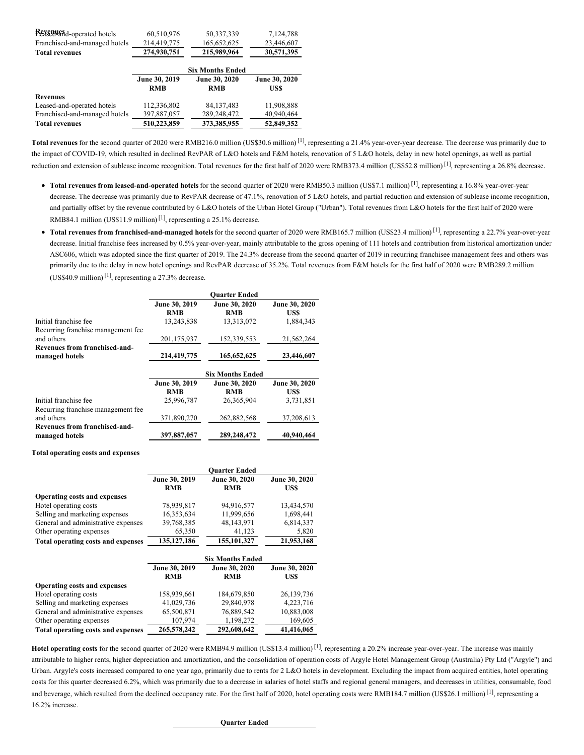| Revenuesd-operated hotels     | 60,510,976                  | 50,337,339                  | 7,124,788             |
|-------------------------------|-----------------------------|-----------------------------|-----------------------|
| Franchised-and-managed hotels | 214,419,775                 | 165,652,625                 | 23,446,607            |
| <b>Total revenues</b>         | 274,930,751                 | 215,989,964                 | 30,571,395            |
|                               |                             | <b>Six Months Ended</b>     |                       |
|                               | June 30, 2019<br><b>RMB</b> | June 30, 2020<br><b>RMB</b> | June 30, 2020<br>US\$ |
| <b>Revenues</b>               |                             |                             |                       |
| Leased-and-operated hotels    | 112,336,802                 | 84, 137, 483                | 11,908,888            |
| Franchised-and-managed hotels | 397,887,057                 | 289,248,472                 | 40,940,464            |
| <b>Total revenues</b>         | 510,223,859                 | 373,385,955                 | 52,849,352            |

**Total revenues** for the second quarter of 2020 were RMB216.0 million (US\$30.6 million)<sup>[1]</sup>, representing a 21.4% year-over-year decrease. The decrease was primarily due to the impact of COVID-19, which resulted in declined RevPAR of L&O hotels and F&M hotels, renovation of 5 L&O hotels, delay in new hotel openings, as well as partial reduction and extension of sublease income recognition. Total revenues for the first half of 2020 were RMB373.4 million (US\$52.8 million)<sup>[1]</sup>, representing a 26.8% decrease.

- **Total revenues from leased-and-operated hotels**for the second quarter of 2020 were RMB50.3 million (US\$7.1 million) [1] , representing a 16.8% year-over-year decrease. The decrease was primarily due to RevPAR decrease of 47.1%, renovation of 5 L&O hotels, and partial reduction and extension of sublease income recognition, and partially offset by the revenue contributed by 6 L&O hotels of the Urban Hotel Group ("Urban"). Total revenues from L&O hotels for the first half of 2020 were RMB84.1 million (US\$11.9 million)<sup>[1]</sup>, representing a 25.1% decrease.
- **Total revenues from franchised-and-managed hotels**for the second quarter of 2020 were RMB165.7 million (US\$23.4 million) [1] , representing a 22.7% year-over-year decrease. Initial franchise fees increased by 0.5% year-over-year, mainly attributable to the gross opening of 111 hotels and contribution from historical amortization under ASC606, which was adopted since the first quarter of 2019. The 24.3% decrease from the second quarter of 2019 in recurring franchisee management fees and others was primarily due to the delay in new hotel openings and RevPAR decrease of 35.2%. Total revenues from F&M hotels for the first half of 2020 were RMB289.2 million (US\$40.9 million) [1] , representing a 27.3% decrease.

|                                                        |                      | <b>Ouarter Ended</b>        |                       |
|--------------------------------------------------------|----------------------|-----------------------------|-----------------------|
|                                                        | June 30, 2019<br>RMB | June 30, 2020<br><b>RMB</b> | June 30, 2020<br>US\$ |
| Initial franchise fee                                  | 13,243,838           | 13,313,072                  | 1.884.343             |
| Recurring franchise management fee                     |                      |                             |                       |
| and others                                             | 201,175,937          | 152,339,553                 | 21,562,264            |
| <b>Revenues from franchised-and-</b><br>managed hotels | 214,419,775          | 165,652,625                 | 23,446,607            |
|                                                        |                      | <b>Six Months Ended</b>     |                       |
|                                                        | June 30, 2019        | June 30, 2020               | June 30, 2020         |
|                                                        | <b>RMB</b>           | <b>RMB</b>                  | US\$                  |
| Initial franchise fee                                  | 25,996,787           | 26,365,904                  | 3,731,851             |
| Recurring franchise management fee                     |                      |                             |                       |
| and others                                             | 371,890,270          | 262,882,568                 | 37,208,613            |
| <b>Revenues from franchised-and-</b>                   |                      |                             |                       |
| managed hotels                                         | 397,887,057          | 289,248,472                 | 40,940,464            |

### **Total operating costs and expenses**

|                                     |                             | <b>Ouarter Ended</b>        |                       |
|-------------------------------------|-----------------------------|-----------------------------|-----------------------|
|                                     | June 30, 2019<br><b>RMB</b> | June 30, 2020<br><b>RMB</b> | June 30, 2020<br>US\$ |
| <b>Operating costs and expenses</b> |                             |                             |                       |
| Hotel operating costs               | 78,939,817                  | 94,916,577                  | 13,434,570            |
| Selling and marketing expenses      | 16,353,634                  | 11,999,656                  | 1,698,441             |
| General and administrative expenses | 39,768,385                  | 48,143,971                  | 6,814,337             |
| Other operating expenses            | 65,350                      | 41.123                      | 5,820                 |
| Total operating costs and expenses  | 135, 127, 186               | 155, 101, 327               | 21,953,168            |

|                                     |                             | <b>Six Months Ended</b>     |                       |
|-------------------------------------|-----------------------------|-----------------------------|-----------------------|
|                                     | June 30, 2019<br><b>RMB</b> | June 30, 2020<br><b>RMB</b> | June 30, 2020<br>US\$ |
| Operating costs and expenses        |                             |                             |                       |
| Hotel operating costs               | 158,939,661                 | 184,679,850                 | 26, 139, 736          |
| Selling and marketing expenses      | 41,029,736                  | 29,840,978                  | 4,223,716             |
| General and administrative expenses | 65,500,871                  | 76,889,542                  | 10,883,008            |
| Other operating expenses            | 107,974                     | 1,198,272                   | 169,605               |
| Total operating costs and expenses  | 265,578,242                 | 292,608,642                 | 41,416,065            |

Hotel operating costs for the second quarter of 2020 were RMB94.9 million (US\$13.4 million)<sup>[1]</sup>, representing a 20.2% increase year-over-year. The increase was mainly attributable to higher rents, higher depreciation and amortization, and the consolidation of operation costs of Argyle Hotel Management Group (Australia) Pty Ltd ("Argyle") and Urban. Argyle's costs increased compared to one year ago, primarily due to rents for 2 L&O hotels in development. Excluding the impact from acquired entities, hotel operating costs for this quarter decreased 6.2%, which was primarily due to a decrease in salaries of hotel staffs and regional general managers, and decreases in utilities, consumable, food and beverage, which resulted from the declined occupancy rate. For the first half of 2020, hotel operating costs were RMB184.7 million (US\$26.1 million)<sup>[1]</sup>, representing a 16.2% increase.

**Quarter Ended**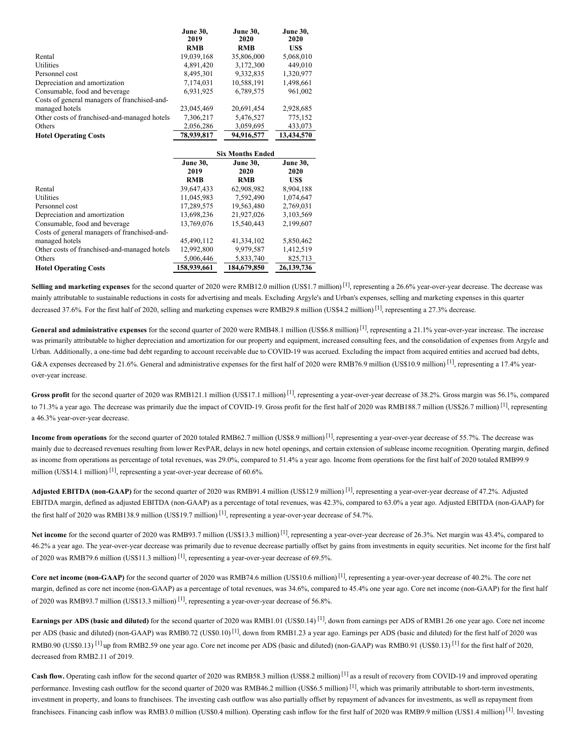|                                              | <b>June 30,</b><br>2019 | <b>June 30,</b><br>2020 | <b>June 30,</b><br>2020 |
|----------------------------------------------|-------------------------|-------------------------|-------------------------|
|                                              | <b>RMB</b>              | <b>RMB</b>              | US\$                    |
| Rental                                       | 19,039,168              | 35,806,000              | 5,068,010               |
| <b>Utilities</b>                             | 4,891,420               | 3,172,300               | 449,010                 |
| Personnel cost                               | 8,495,301               | 9,332,835               | 1,320,977               |
| Depreciation and amortization                | 7,174,031               | 10,588,191              | 1,498,661               |
| Consumable, food and beverage                | 6,931,925               | 6,789,575               | 961,002                 |
| Costs of general managers of franchised-and- |                         |                         |                         |
| managed hotels                               | 23,045,469              | 20,691,454              | 2,928,685               |
| Other costs of franchised-and-managed hotels | 7,306,217               | 5,476,527               | 775,152                 |
| Others                                       | 2,056,286               | 3,059,695               | 433,073                 |
| <b>Hotel Operating Costs</b>                 | 78,939,817              | 94,916,577              | 13,434,570              |

|                                              |                         | <b>Six Months Ended</b> |                         |
|----------------------------------------------|-------------------------|-------------------------|-------------------------|
|                                              | <b>June 30,</b><br>2019 | <b>June 30,</b><br>2020 | <b>June 30,</b><br>2020 |
|                                              | <b>RMB</b>              | <b>RMB</b>              | US\$                    |
| Rental                                       | 39.647.433              | 62.908.982              | 8.904.188               |
| Utilities                                    | 11,045,983              | 7,592,490               | 1,074,647               |
| Personnel cost                               | 17,289,575              | 19.563.480              | 2,769,031               |
| Depreciation and amortization                | 13.698.236              | 21,927,026              | 3,103,569               |
| Consumable, food and beverage                | 13,769,076              | 15,540,443              | 2,199,607               |
| Costs of general managers of franchised-and- |                         |                         |                         |
| managed hotels                               | 45,490,112              | 41.334.102              | 5,850,462               |
| Other costs of franchised-and-managed hotels | 12,992,800              | 9,979,587               | 1,412,519               |
| Others                                       | 5,006,446               | 5,833,740               | 825,713                 |
| <b>Hotel Operating Costs</b>                 | 158,939,661             | 184,679,850             | 26,139,736              |

**Selling and marketing expenses** for the second quarter of 2020 were RMB12.0 million (US\$1.7 million)<sup>[1]</sup>, representing a 26.6% year-over-year decrease. The decrease was mainly attributable to sustainable reductions in costs for advertising and meals. Excluding Argyle's and Urban's expenses, selling and marketing expenses in this quarter decreased 37.6%. For the first half of 2020, selling and marketing expenses were RMB29.8 million (US\$4.2 million)<sup>[1]</sup>, representing a 27.3% decrease.

General and administrative expenses for the second quarter of 2020 were RMB48.1 million (US\$6.8 million)<sup>[1]</sup>, representing a 21.1% year-over-year increase. The increase was primarily attributable to higher depreciation and amortization for our property and equipment, increased consulting fees, and the consolidation of expenses from Argyle and Urban. Additionally, a one-time bad debt regarding to account receivable due to COVID-19 was accrued. Excluding the impact from acquired entities and accrued bad debts, G&A expenses decreased by 21.6%. General and administrative expenses for the first half of 2020 were RMB76.9 million (US\$10.9 million) [1], representing a 17.4% yearover-year increase.

Gross profit for the second quarter of 2020 was RMB121.1 million (US\$17.1 million)<sup>[1]</sup>, representing a year-over-year decrease of 38.2%. Gross margin was 56.1%, compared to 71.3% a year ago. The decrease was primarily due the impact of COVID-19. Gross profit for the first half of 2020 was RMB188.7 million (US\$26.7 million)  $\left[1\right]$ , representing a 46.3% year-over-year decrease.

**Income from operations** for the second quarter of 2020 totaled RMB62.7 million (US\$8.9 million)<sup>[1]</sup>, representing a year-over-year decrease of 55.7%. The decrease was mainly due to decreased revenues resulting from lower RevPAR, delays in new hotel openings, and certain extension of sublease income recognition. Operating margin, defined as income from operations as percentage of total revenues, was 29.0%, compared to 51.4% a year ago. Income from operations for the first half of 2020 totaled RMB99.9 million (US\$14.1 million)<sup>[1]</sup>, representing a year-over-year decrease of 60.6%.

Adjusted EBITDA (non-GAAP) for the second quarter of 2020 was RMB91.4 million (US\$12.9 million)<sup>[1]</sup>, representing a year-over-year decrease of 47.2%. Adjusted EBITDA margin, defined as adjusted EBITDA (non-GAAP) as a percentage of total revenues, was 42.3%, compared to 63.0% a year ago. Adjusted EBITDA (non-GAAP) for the first half of 2020 was RMB138.9 million (US\$19.7 million)  $\left[1\right]$ , representing a year-over-year decrease of 54.7%.

Net income for the second quarter of 2020 was RMB93.7 million (US\$13.3 million)<sup>[1]</sup>, representing a year-over-year decrease of 26.3%. Net margin was 43.4%, compared to 46.2% a year ago. The year-over-year decrease was primarily due to revenue decrease partially offset by gains from investments in equity securities. Net income for the first half of 2020 was RMB79.6 million (US\$11.3 million)  $\left[1\right]$ , representing a year-over-year decrease of 69.5%.

Core net income (non-GAAP) for the second quarter of 2020 was RMB74.6 million (US\$10.6 million)<sup>[1]</sup>, representing a year-over-year decrease of 40.2%. The core net margin, defined as core net income (non-GAAP) as a percentage of total revenues, was 34.6%, compared to 45.4% one year ago. Core net income (non-GAAP) for the first half of 2020 was RMB93.7 million (US\$13.3 million) <sup>[1]</sup>, representing a year-over-year decrease of 56.8%.

**Earnings per ADS (basic and diluted)** for the second quarter of 2020 was RMB1.01 (US\$0.14)<sup>[1]</sup>, down from earnings per ADS of RMB1.26 one year ago. Core net income per ADS (basic and diluted) (non-GAAP) was RMB0.72 (US\$0.10)<sup>[1]</sup>, down from RMB1.23 a year ago. Earnings per ADS (basic and diluted) for the first half of 2020 was RMB0.90 (US\$0.13)  $^{[1]}$ up from RMB2.59 one year ago. Core net income per ADS (basic and diluted) (non-GAAP) was RMB0.91 (US\$0.13)  $^{[1]}$  for the first half of 2020, decreased from RMB2.11 of 2019.

Cash flow. Operating cash inflow for the second quarter of 2020 was RMB58.3 million (US\$8.2 million)<sup>[1]</sup> as a result of recovery from COVID-19 and improved operating performance. Investing cash outflow for the second quarter of 2020 was RMB46.2 million (US\$6.5 million)<sup>[1]</sup>, which was primarily attributable to short-term investments, investment in property, and loans to franchisees. The investing cash outflow was also partially offset by repayment of advances for investments, as well as repayment from franchisees. Financing cash inflow was RMB3.0 million (US\$0.4 million). Operating cash inflow for the first half of 2020 was RMB9.9 million (US\$1.4 million)<sup>[1]</sup>. Investing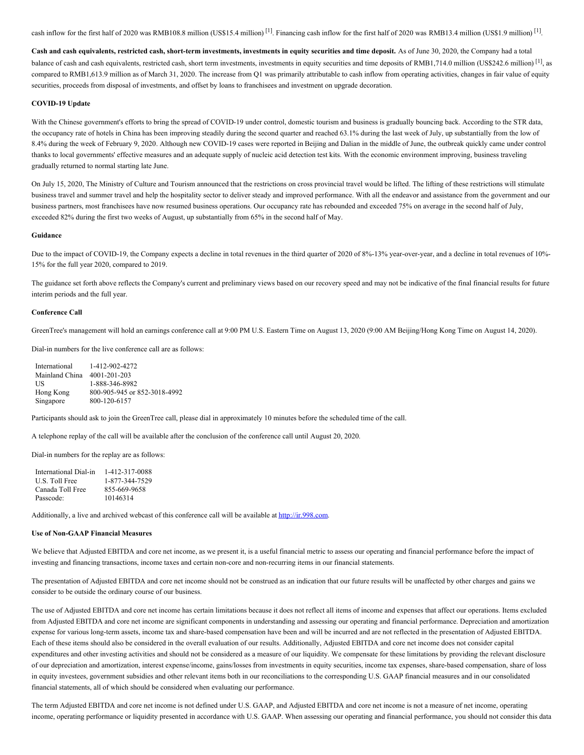cash inflow for the first half of 2020 was RMB108.8 million (US\$15.4 million)<sup>[1]</sup>. Financing cash inflow for the first half of 2020 was RMB13.4 million (US\$1.9 million)<sup>[1]</sup>.

Cash and cash equivalents, restricted cash, short-term investments, investments in equity securities and time deposit. As of June 30, 2020, the Company had a total balance of cash and cash equivalents, restricted cash, short term investments, investments in equity securities and time deposits of RMB1,714.0 million (US\$242.6 million) [1], as compared to RMB1,613.9 million as of March 31, 2020. The increase from Q1 was primarily attributable to cash inflow from operating activities, changes in fair value of equity securities, proceeds from disposal of investments, and offset by loans to franchisees and investment on upgrade decoration.

## **COVID-19 Update**

With the Chinese government's efforts to bring the spread of COVID-19 under control, domestic tourism and business is gradually bouncing back. According to the STR data, the occupancy rate of hotels in China has been improving steadily during the second quarter and reached 63.1% during the last week of July, up substantially from the low of 8.4% during the week of February 9, 2020. Although new COVID-19 cases were reported in Beijing and Dalian in the middle of June, the outbreak quickly came under control thanks to local governments' effective measures and an adequate supply of nucleic acid detection test kits. With the economic environment improving, business traveling gradually returned to normal starting late June.

On July 15, 2020, The Ministry of Culture and Tourism announced that the restrictions on cross provincial travel would be lifted. The lifting of these restrictions will stimulate business travel and summer travel and help the hospitality sector to deliver steady and improved performance. With all the endeavor and assistance from the government and our business partners, most franchisees have now resumed business operations. Our occupancy rate has rebounded and exceeded 75% on average in the second half of July, exceeded 82% during the first two weeks of August, up substantially from 65% in the second half of May.

#### **Guidance**

Due to the impact of COVID-19, the Company expects a decline in total revenues in the third quarter of 2020 of 8%-13% year-over-year, and a decline in total revenues of 10%-15% for the full year 2020, compared to 2019.

The guidance set forth above reflects the Company's current and preliminary views based on our recovery speed and may not be indicative of the final financial results for future interim periods and the full year.

## **Conference Call**

GreenTree's management will hold an earnings conference call at 9:00 PM U.S. Eastern Time on August 13, 2020 (9:00 AM Beijing/Hong Kong Time on August 14, 2020).

Dial-in numbers for the live conference call are as follows:

| International  | 1-412-902-4272               |
|----------------|------------------------------|
| Mainland China | 4001-201-203                 |
| НS             | 1-888-346-8982               |
| Hong Kong      | 800-905-945 or 852-3018-4992 |
| Singapore      | 800-120-6157                 |

Participants should ask to join the GreenTree call, please dial in approximately 10 minutes before the scheduled time of the call.

A telephone replay of the call will be available after the conclusion of the conference call until August 20, 2020.

Dial-in numbers for the replay are as follows:

| International Dial-in | 1-412-317-0088 |
|-----------------------|----------------|
| U.S. Toll Free        | 1-877-344-7529 |
| Canada Toll Free      | 855-669-9658   |
| Passcode:             | 10146314       |

Additionally, a live and archived webcast of this conference call will be available at [http://ir.998.com](http://ir.998.com/).

# **Use of Non-GAAP Financial Measures**

We believe that Adjusted EBITDA and core net income, as we present it, is a useful financial metric to assess our operating and financial performance before the impact of investing and financing transactions, income taxes and certain non-core and non-recurring items in our financial statements.

The presentation of Adjusted EBITDA and core net income should not be construed as an indication that our future results will be unaffected by other charges and gains we consider to be outside the ordinary course of our business.

The use of Adjusted EBITDA and core net income has certain limitations because it does not reflect all items of income and expenses that affect our operations. Items excluded from Adjusted EBITDA and core net income are significant components in understanding and assessing our operating and financial performance. Depreciation and amortization expense for various long-term assets, income tax and share-based compensation have been and will be incurred and are not reflected in the presentation of Adjusted EBITDA. Each of these items should also be considered in the overall evaluation of our results. Additionally, Adjusted EBITDA and core net income does not consider capital expenditures and other investing activities and should not be considered as a measure of our liquidity. We compensate for these limitations by providing the relevant disclosure of our depreciation and amortization, interest expense/income, gains/losses from investments in equity securities, income tax expenses, share-based compensation, share of loss in equity investees, government subsidies and other relevant items both in our reconciliations to the corresponding U.S. GAAP financial measures and in our consolidated financial statements, all of which should be considered when evaluating our performance.

The term Adjusted EBITDA and core net income is not defined under U.S. GAAP, and Adjusted EBITDA and core net income is not a measure of net income, operating income, operating performance or liquidity presented in accordance with U.S. GAAP. When assessing our operating and financial performance, you should not consider this data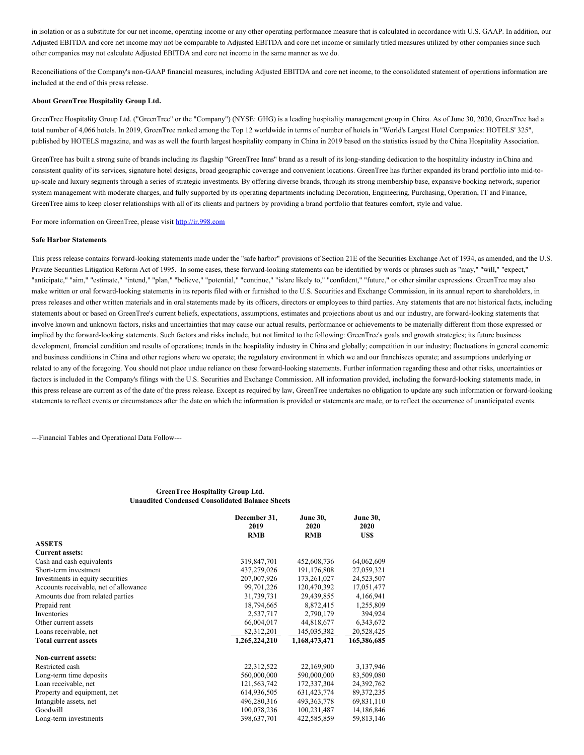in isolation or as a substitute for our net income, operating income or any other operating performance measure that is calculated in accordance with U.S. GAAP. In addition, our Adjusted EBITDA and core net income may not be comparable to Adjusted EBITDA and core net income or similarly titled measures utilized by other companies since such other companies may not calculate Adjusted EBITDA and core net income in the same manner as we do.

Reconciliations of the Company's non-GAAP financial measures, including Adjusted EBITDA and core net income, to the consolidated statement of operations information are included at the end of this press release.

#### **About GreenTree Hospitality Group Ltd.**

GreenTree Hospitality Group Ltd. ("GreenTree" or the "Company") (NYSE: GHG) is a leading hospitality management group in China. As of June 30, 2020, GreenTree had a total number of 4,066 hotels. In 2019, GreenTree ranked among the Top 12 worldwide in terms of number of hotels in "World's Largest Hotel Companies: HOTELS' 325", published by HOTELS magazine, and was as well the fourth largest hospitality company in China in 2019 based on the statistics issued by the China Hospitality Association.

GreenTree has built a strong suite of brands including its flagship "GreenTree Inns" brand as a result of its long-standing dedication to the hospitality industry inChina and consistent quality of its services, signature hotel designs, broad geographic coverage and convenient locations. GreenTree has further expanded its brand portfolio into mid-toup-scale and luxury segments through a series of strategic investments. By offering diverse brands, through its strong membership base, expansive booking network, superior system management with moderate charges, and fully supported by its operating departments including Decoration, Engineering, Purchasing, Operation, IT and Finance, GreenTree aims to keep closer relationships with all of its clients and partners by providing a brand portfolio that features comfort, style and value.

For more information on GreenTree, please visit [http://ir.998.com](http://ir.998.com/)

## **Safe Harbor Statements**

This press release contains forward-looking statements made under the "safe harbor" provisions of Section 21E of the Securities Exchange Act of 1934, as amended, and the U.S. Private Securities Litigation Reform Act of 1995. In some cases, these forward-looking statements can be identified by words or phrases such as "may," "will," "expect," "anticipate," "aim," "estimate," "intend," "plan," "believe," "potential," "continue," "is/are likely to," "confident," "future," or other similar expressions. GreenTree may also make written or oral forward-looking statements in its reports filed with or furnished to the U.S. Securities and Exchange Commission, in its annual report to shareholders, in press releases and other written materials and in oral statements made by its officers, directors or employees to third parties. Any statements that are not historical facts, including statements about or based on GreenTree's current beliefs, expectations, assumptions, estimates and projections about us and our industry, are forward-looking statements that involve known and unknown factors, risks and uncertainties that may cause our actual results, performance or achievements to be materially different from those expressed or implied by the forward-looking statements. Such factors and risks include, but not limited to the following: GreenTree's goals and growth strategies; its future business development, financial condition and results of operations; trends in the hospitality industry in China and globally; competition in our industry; fluctuations in general economic and business conditions in China and other regions where we operate; the regulatory environment in which we and our franchisees operate; and assumptions underlying or related to any of the foregoing. You should not place undue reliance on these forward-looking statements. Further information regarding these and other risks, uncertainties or factors is included in the Company's filings with the U.S. Securities and Exchange Commission. All information provided, including the forward-looking statements made, in this press release are current as of the date of the press release. Except as required by law, GreenTree undertakes no obligation to update any such information or forward-looking statements to reflect events or circumstances after the date on which the information is provided or statements are made, or to reflect the occurrence of unanticipated events.

---Financial Tables and Operational Data Follow---

## **GreenTree Hospitality Group Ltd. Unaudited Condensed Consolidated Balance Sheets**

|                                       | December 31,<br>2019 | June 30,<br>2020 | <b>June 30,</b><br>2020 |
|---------------------------------------|----------------------|------------------|-------------------------|
|                                       | <b>RMB</b>           | <b>RMB</b>       | US\$                    |
| <b>ASSETS</b>                         |                      |                  |                         |
| <b>Current assets:</b>                |                      |                  |                         |
| Cash and cash equivalents             | 319,847,701          | 452,608,736      | 64,062,609              |
| Short-term investment                 | 437,279,026          | 191,176,808      | 27,059,321              |
| Investments in equity securities      | 207,007,926          | 173,261,027      | 24,523,507              |
| Accounts receivable, net of allowance | 99,701,226           | 120,470,392      | 17,051,477              |
| Amounts due from related parties      | 31,739,731           | 29,439,855       | 4,166,941               |
| Prepaid rent                          | 18,794,665           | 8,872,415        | 1,255,809               |
| Inventories                           | 2,537,717            | 2,790,179        | 394,924                 |
| Other current assets                  | 66,004,017           | 44,818,677       | 6,343,672               |
| Loans receivable, net                 | 82,312,201           | 145,035,382      | 20,528,425              |
| <b>Total current assets</b>           | 1,265,224,210        | 1,168,473,471    | 165,386,685             |
| <b>Non-current assets:</b>            |                      |                  |                         |
| Restricted cash                       | 22,312,522           | 22,169,900       | 3,137,946               |
| Long-term time deposits               | 560,000,000          | 590,000,000      | 83,509,080              |
| Loan receivable, net                  | 121,563,742          | 172,337,304      | 24,392,762              |
| Property and equipment, net           | 614,936,505          | 631, 423, 774    | 89,372,235              |
| Intangible assets, net                | 496,280,316          | 493, 363, 778    | 69,831,110              |
| Goodwill                              | 100,078,236          | 100,231,487      | 14,186,846              |
| Long-term investments                 | 398,637,701          | 422,585,859      | 59,813,146              |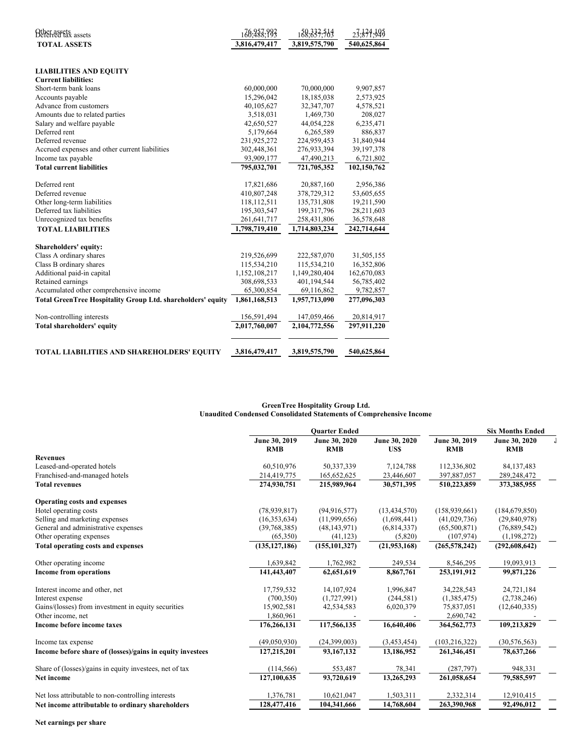| Other assets<br>Deferred tax assets                                | 176, 257, 993 | 188,332,514   | 23:871:945  |
|--------------------------------------------------------------------|---------------|---------------|-------------|
| <b>TOTAL ASSETS</b>                                                | 3,816,479,417 | 3,819,575,790 | 540,625,864 |
|                                                                    |               |               |             |
| <b>LIABILITIES AND EQUITY</b>                                      |               |               |             |
| <b>Current liabilities:</b>                                        |               |               |             |
| Short-term bank loans                                              | 60,000,000    | 70,000,000    | 9,907,857   |
| Accounts payable                                                   | 15,296,042    | 18,185,038    | 2,573,925   |
| Advance from customers                                             | 40,105,627    | 32,347,707    | 4,578,521   |
| Amounts due to related parties                                     | 3,518,031     | 1,469,730     | 208,027     |
| Salary and welfare payable                                         | 42,650,527    | 44,054,228    | 6,235,471   |
| Deferred rent                                                      | 5,179,664     | 6,265,589     | 886,837     |
| Deferred revenue                                                   | 231,925,272   | 224,959,453   | 31,840,944  |
| Accrued expenses and other current liabilities                     | 302,448,361   | 276,933,394   | 39,197,378  |
| Income tax payable                                                 | 93,909,177    | 47,490,213    | 6,721,802   |
| <b>Total current liabilities</b>                                   | 795,032,701   | 721,705,352   | 102,150,762 |
| Deferred rent                                                      | 17,821,686    | 20,887,160    | 2,956,386   |
| Deferred revenue                                                   | 410,807,248   | 378,729,312   | 53,605,655  |
| Other long-term liabilities                                        | 118,112,511   | 135,731,808   | 19,211,590  |
| Deferred tax liabilities                                           | 195,303,547   | 199,317,796   | 28,211,603  |
| Unrecognized tax benefits                                          | 261, 641, 717 | 258,431,806   | 36,578,648  |
| <b>TOTAL LIABILITIES</b>                                           | 1,798,719,410 | 1,714,803,234 | 242,714,644 |
| Shareholders' equity:                                              |               |               |             |
| Class A ordinary shares                                            | 219,526,699   | 222,587,070   | 31,505,155  |
| Class B ordinary shares                                            | 115,534,210   | 115,534,210   | 16,352,806  |
| Additional paid-in capital                                         | 1,152,108,217 | 1,149,280,404 | 162,670,083 |
| Retained earnings                                                  | 308,698,533   | 401,194,544   | 56,785,402  |
| Accumulated other comprehensive income                             | 65,300,854    | 69,116,862    | 9,782,857   |
| <b>Total GreenTree Hospitality Group Ltd. shareholders' equity</b> | 1,861,168,513 | 1,957,713,090 | 277,096,303 |
| Non-controlling interests                                          | 156,591,494   | 147,059,466   | 20,814,917  |
| <b>Total shareholders' equity</b>                                  | 2,017,760,007 | 2,104,772,556 | 297,911,220 |
|                                                                    |               |               |             |
| TOTAL LIABILITIES AND SHAREHOLDERS' EQUITY                         | 3,816,479,417 | 3,819,575,790 | 540,625,864 |

#### **GreenTree Hospitality Group Ltd. Unaudited Condensed Consolidated Statements of Comprehensive Income**

| <b>Six Months Ended</b>                                    |                       | <b>Ouarter Ended</b>        |                             |                                                           |
|------------------------------------------------------------|-----------------------|-----------------------------|-----------------------------|-----------------------------------------------------------|
| June 30, 2019<br>June 30, 2020<br><b>RMB</b><br><b>RMB</b> | June 30, 2020<br>US\$ | June 30, 2020<br><b>RMB</b> | June 30, 2019<br><b>RMB</b> |                                                           |
|                                                            |                       |                             |                             | <b>Revenues</b>                                           |
| 112,336,802<br>84, 137, 483                                | 7,124,788             | 50,337,339                  | 60,510,976                  | Leased-and-operated hotels                                |
| 397,887,057<br>289, 248, 472                               | 23,446,607            | 165, 652, 625               | 214,419,775                 | Franchised-and-managed hotels                             |
| 510,223,859<br>373,385,955                                 | 30,571,395            | 215,989,964                 | 274,930,751                 | <b>Total revenues</b>                                     |
|                                                            |                       |                             |                             | Operating costs and expenses                              |
| (158, 939, 661)<br>(184, 679, 850)                         | (13, 434, 570)        | (94, 916, 577)              | (78,939,817)                | Hotel operating costs                                     |
| (41,029,736)<br>(29, 840, 978)                             | (1,698,441)           | (11,999,656)                | (16,353,634)                | Selling and marketing expenses                            |
| (76,889,542)<br>(65,500,871)                               | (6,814,337)           | (48, 143, 971)              | (39,768,385)                | General and administrative expenses                       |
| (107, 974)<br>(1, 198, 272)                                | (5,820)               | (41, 123)                   | (65,350)                    | Other operating expenses                                  |
| (265, 578, 242)<br>(292, 608, 642)                         | (21,953,168)          | (155, 101, 327)             | (135, 127, 186)             | Total operating costs and expenses                        |
| 8,546,295<br>19,093,913                                    | 249,534               | 1,762,982                   | 1,639,842                   | Other operating income                                    |
| 253,191,912<br>99,871,226                                  | 8,867,761             | 62,651,619                  | 141,443,407                 | <b>Income from operations</b>                             |
| 34,228,543<br>24,721,184                                   | 1,996,847             | 14,107,924                  | 17,759,532                  | Interest income and other, net                            |
| (2,738,246)<br>(1,385,475)                                 | (244, 581)            | (1,727,991)                 | (700, 350)                  | Interest expense                                          |
| 75,837,051<br>(12,640,335)                                 | 6,020,379             | 42,534,583                  | 15,902,581                  | Gains/(losses) from investment in equity securities       |
| 2,690,742                                                  |                       |                             | 1,860,961                   | Other income, net                                         |
| 109,213,829<br>364, 562, 773                               | 16,640,406            | 117,566,135                 | 176,266,131                 | Income before income taxes                                |
| (103, 216, 322)<br>(30, 576, 563)                          | (3,453,454)           | (24,399,003)                | (49,050,930)                | Income tax expense                                        |
| 261,346,451<br>78,637,266                                  | 13,186,952            | 93,167,132                  | 127,215,201                 | Income before share of (losses)/gains in equity investees |
| (287, 797)<br>948,331                                      | 78,341                | 553,487                     | (114, 566)                  | Share of (losses)/gains in equity investees, net of tax   |
| 79,585,597<br>261,058,654                                  | 13,265,293            | 93,720,619                  | 127,100,635                 | Net income                                                |
| 2,332,314<br>12,910,415                                    | 1,503,311             | 10,621,047                  | 1,376,781                   | Net loss attributable to non-controlling interests        |
| 263,390,968<br>92,496,012                                  | 14,768,604            | 104,341,666                 | 128,477,416                 | Net income attributable to ordinary shareholders          |
|                                                            |                       |                             |                             |                                                           |

**Net earnings per share**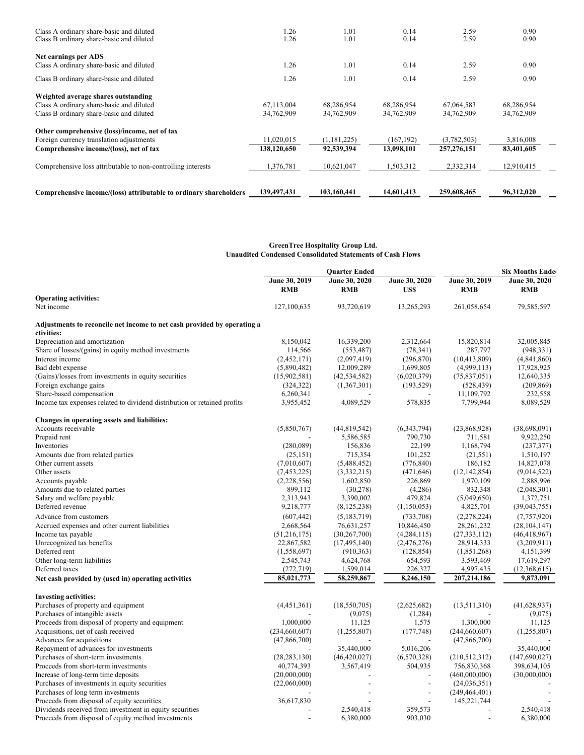| Class A ordinary share-basic and diluted<br>Class B ordinary share-basic and diluted | 1.26<br>1.26 | 1.01<br>1.01 | 0.14<br>0.14 | 2.59<br>2.59  | 0.90<br>0.90 |
|--------------------------------------------------------------------------------------|--------------|--------------|--------------|---------------|--------------|
| Net earnings per ADS                                                                 |              |              |              |               |              |
| Class A ordinary share-basic and diluted                                             | 1.26         | 1.01         | 0.14         | 2.59          | 0.90         |
| Class B ordinary share-basic and diluted                                             | 1.26         | 1.01         | 0.14         | 2.59          | 0.90         |
| Weighted average shares outstanding                                                  |              |              |              |               |              |
| Class A ordinary share-basic and diluted                                             | 67,113,004   | 68,286,954   | 68,286,954   | 67,064,583    | 68,286,954   |
| Class B ordinary share-basic and diluted                                             | 34,762,909   | 34,762,909   | 34,762,909   | 34,762,909    | 34,762,909   |
| Other comprehensive (loss)/income, net of tax                                        |              |              |              |               |              |
| Foreign currency translation adjustments                                             | 11,020,015   | (1,181,225)  | (167, 192)   | (3,782,503)   | 3,816,008    |
| Comprehensive income/(loss), net of tax                                              | 138,120,650  | 92,539,394   | 13,098,101   | 257, 276, 151 | 83,401,605   |
| Comprehensive loss attributable to non-controlling interests                         | 1,376,781    | 10,621,047   | 1,503,312    | 2,332,314     | 12,910,415   |
| Comprehensive income/(loss) attributable to ordinary shareholders                    | 139,497,431  | 103,160,441  | 14,601,413   | 259,608,465   | 96,312,020   |

### **GreenTree Hospitality Group Ltd. Unaudited Condensed Consolidated Statements of Cash Flows**

|                                                                          | <b>Ouarter Ended</b> |                |               | <b>Six Months Ender</b>  |                |  |
|--------------------------------------------------------------------------|----------------------|----------------|---------------|--------------------------|----------------|--|
|                                                                          | June 30, 2019        | June 30, 2020  | June 30, 2020 | June 30, 2019            | June 30, 2020  |  |
|                                                                          | <b>RMB</b>           | <b>RMB</b>     | <b>USS</b>    | <b>RMB</b>               | <b>RMB</b>     |  |
| <b>Operating activities:</b>                                             |                      |                |               |                          |                |  |
| Net income                                                               | 127,100,635          | 93,720,619     | 13,265,293    | 261,058,654              | 79,585,597     |  |
| Adjustments to reconcile net income to net cash provided by operating a  |                      |                |               |                          |                |  |
| ctivities:                                                               |                      |                |               |                          |                |  |
| Depreciation and amortization                                            | 8,150,042            | 16,339,200     | 2,312,664     | 15,820,814               | 32,005,845     |  |
| Share of losses/(gains) in equity method investments                     | 114,566              | (553, 487)     | (78, 341)     | 287,797                  | (948, 331)     |  |
| Interest income                                                          | (2,452,171)          | (2,097,419)    | (296, 870)    | (10, 413, 809)           | (4,841,860)    |  |
| Bad debt expense                                                         | (5,890,482)          | 12,009,289     | 1,699,805     | (4,999,113)              | 17,928,925     |  |
| (Gains)/losses from investments in equity securities                     | (15,902,581)         | (42, 534, 582) | (6,020,379)   | (75,837,051)             | 12,640,335     |  |
| Foreign exchange gains                                                   | (324, 322)           | (1,367,301)    | (193, 529)    | (528, 439)               | (209, 869)     |  |
| Share-based compensation                                                 | 6,260,341            |                |               | 11,109,792               | 232,558        |  |
| Income tax expenses related to dividend distribution or retained profits | 3,955,452            | 4,089,529      | 578,835       | 7,799,944                | 8,089,529      |  |
| Changes in operating assets and liabilities:                             |                      |                |               |                          |                |  |
| Accounts receivable                                                      | (5,850,767)          | (44,819,542)   | (6,343,794)   | (23,868,928)             | (38,698,091)   |  |
| Prepaid rent                                                             |                      | 5,586,585      | 790,730       | 711,581                  | 9,922,250      |  |
| Inventories                                                              | (280,089)            | 156,836        | 22,199        | 1,168,794                | (237, 377)     |  |
| Amounts due from related parties                                         | (25, 151)            | 715,354        | 101,252       | (21, 551)                | 1,510,197      |  |
| Other current assets                                                     | (7,010,607)          | (5,488,452)    | (776, 840)    | 186,182                  | 14,827,078     |  |
| Other assets                                                             | (7,453,225)          | (3,332,215)    | (471, 646)    | (12, 142, 854)           | (9,014,522)    |  |
| Accounts payable                                                         | (2,228,556)          | 1,602,850      | 226,869       | 1,970,109                | 2,888,996      |  |
| Amounts due to related parties                                           | 899,112              | (30, 278)      | (4,286)       | 832,348                  | (2,048,301)    |  |
| Salary and welfare payable                                               | 2,313,943            | 3,390,002      | 479,824       | (5,049,650)              | 1,372,751      |  |
| Deferred revenue                                                         | 9,218,777            | (8, 125, 238)  | (1,150,053)   | 4,825,701                | (39,043,755)   |  |
| Advance from customers                                                   | (607, 442)           | (5,183,719)    | (733,708)     | (2,278,224)              | (7,757,920)    |  |
| Accrued expenses and other current liabilities                           | 2,668,564            | 76,631,257     | 10,846,450    | 28,261,232               | (28, 104, 147) |  |
| Income tax payable                                                       | (51,216,175)         | (30, 267, 700) | (4,284,115)   | (27, 333, 112)           | (46, 418, 967) |  |
| Unrecognized tax benefits                                                | 22,867,582           | (17, 495, 140) | (2,476,276)   | 28,914,333               | (3,209,911)    |  |
| Deferred rent                                                            | (1,558,697)          | (910, 363)     | (128, 854)    | (1,851,268)              | 4,151,399      |  |
| Other long-term liabilities                                              | 2,545,743            | 4,624,768      | 654,593       | 3,593,469                | 17,619,297     |  |
| Deferred taxes                                                           | (272, 719)           | 1,599,014      | 226,327       | 4,997,435                | (12,368,615)   |  |
| Net cash provided by (used in) operating activities                      | 85,021,773           | 58,259,867     | 8,246,150     | 207,214,186              | 9,873,091      |  |
|                                                                          |                      |                |               |                          |                |  |
| <b>Investing activities:</b>                                             |                      |                |               |                          |                |  |
| Purchases of property and equipment                                      | (4,451,361)          | (18, 550, 705) | (2,625,682)   | (13,511,310)             | (41,628,937)   |  |
| Purchases of intangible assets                                           |                      | (9,075)        | (1,284)       |                          | (9,075)        |  |
| Proceeds from disposal of property and equipment                         | 1,000,000            | 11,125         | 1,575         | 1,300,000                | 11,125         |  |
| Acquisitions, net of cash received                                       | (234, 660, 607)      | (1,255,807)    | (177,748)     | (244, 660, 607)          | (1,255,807)    |  |
| Advances for acquisitions                                                | (47,866,700)         |                |               | (47,866,700)             |                |  |
| Repayment of advances for investments                                    |                      | 35,440,000     | 5,016,206     |                          | 35,440,000     |  |
| Purchases of short-term investments                                      | (28, 283, 130)       | (46, 420, 027) | (6,570,328)   | (210,512,312)            | (147,690,027)  |  |
| Proceeds from short-term investments                                     | 40,774,393           | 3,567,419      | 504,935       | 756,830,368              | 398,634,105    |  |
| Increase of long-term time deposits                                      | (20,000,000)         |                |               | (460,000,000)            | (30,000,000)   |  |
| Purchases of investments in equity securities                            | (22,060,000)         |                |               | (24, 036, 351)           |                |  |
| Purchases of long term investments                                       |                      |                |               | (249, 464, 401)          |                |  |
| Proceeds from disposal of equity securities                              | 36,617,830           |                |               | 145,221,744              |                |  |
| Dividends received from investment in equity securities                  |                      | 2,540,418      | 359,573       |                          | 2,540,418      |  |
| Proceeds from disposal of equity method investments                      |                      | 6,380,000      | 903,030       | $\overline{\phantom{a}}$ | 6,380,000      |  |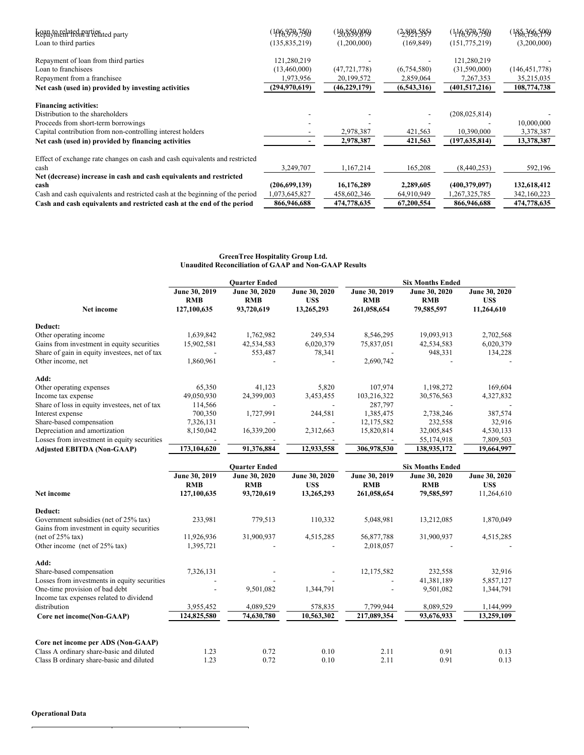| Rean to related parties ted party                                            | (IN6373,758)    | ( <b>138539.899)</b> | (28921.585) | (446.373.758)   | (18563656509)   |
|------------------------------------------------------------------------------|-----------------|----------------------|-------------|-----------------|-----------------|
| Loan to third parties                                                        | (135, 835, 219) | (1,200,000)          | (169, 849)  | (151, 775, 219) | (3,200,000)     |
| Repayment of loan from third parties                                         | 121,280,219     |                      |             | 121,280,219     |                 |
| Loan to franchisees                                                          | (13,460,000)    | (47, 721, 778)       | (6,754,580) | (31,590,000)    | (146, 451, 778) |
| Repayment from a franchisee                                                  | 1,973,956       | 20,199,572           | 2,859,064   | 7,267,353       | 35,215,035      |
| Net cash (used in) provided by investing activities                          | (294, 970, 619) | (46, 229, 179)       | (6,543,316) | (401, 517, 216) | 108,774,738     |
| <b>Financing activities:</b>                                                 |                 |                      |             |                 |                 |
| Distribution to the shareholders                                             |                 |                      |             | (208, 025, 814) |                 |
| Proceeds from short-term borrowings                                          |                 |                      |             |                 | 10,000,000      |
| Capital contribution from non-controlling interest holders                   |                 | 2,978,387            | 421,563     | 10,390,000      | 3,378,387       |
| Net cash (used in) provided by financing activities                          |                 | 2,978,387            | 421,563     | (197, 635, 814) | 13,378,387      |
| Effect of exchange rate changes on cash and cash equivalents and restricted  |                 |                      |             |                 |                 |
| cash                                                                         | 3,249,707       | 1,167,214            | 165,208     | (8,440,253)     | 592,196         |
| Net (decrease) increase in cash and cash equivalents and restricted          |                 |                      |             |                 |                 |
| cash                                                                         | (206, 699, 139) | 16,176,289           | 2,289,605   | (400, 379, 097) | 132,618,412     |
| Cash and cash equivalents and restricted cash at the beginning of the period | 1,073,645,827   | 458,602,346          | 64,910,949  | 1,267,325,785   | 342,160,223     |
| Cash and cash equivalents and restricted cash at the end of the period       | 866,946,688     | 474,778,635          | 67,200,554  | 866,946,688     | 474,778,635     |

## **GreenTree Hospitality Group Ltd. Unaudited Reconciliation of GAAP and Non-GAAP Results**

|                                               | <b>Ouarter Ended</b>                       |                                           |                                     | <b>Six Months Ended</b>                    |                                    |                                     |
|-----------------------------------------------|--------------------------------------------|-------------------------------------------|-------------------------------------|--------------------------------------------|------------------------------------|-------------------------------------|
| Net income                                    | June 30, 2019<br><b>RMB</b><br>127,100,635 | June 30, 2020<br><b>RMB</b><br>93,720,619 | June 30, 2020<br>US\$<br>13,265,293 | June 30, 2019<br><b>RMB</b><br>261,058,654 | June 30, 2020<br>RMB<br>79,585,597 | June 30, 2020<br>US\$<br>11,264,610 |
| Deduct:                                       |                                            |                                           |                                     |                                            |                                    |                                     |
| Other operating income                        | 1,639,842                                  | 1,762,982                                 | 249,534                             | 8,546,295                                  | 19,093,913                         | 2,702,568                           |
| Gains from investment in equity securities    | 15,902,581                                 | 42,534,583                                | 6,020,379                           | 75,837,051                                 | 42,534,583                         | 6,020,379                           |
| Share of gain in equity investees, net of tax |                                            | 553,487                                   | 78,341                              |                                            | 948,331                            | 134,228                             |
| Other income, net                             | 1,860,961                                  |                                           |                                     | 2,690,742                                  |                                    |                                     |
| Add:                                          |                                            |                                           |                                     |                                            |                                    |                                     |
| Other operating expenses                      | 65,350                                     | 41,123                                    | 5,820                               | 107,974                                    | 1,198,272                          | 169,604                             |
| Income tax expense                            | 49,050,930                                 | 24,399,003                                | 3,453,455                           | 103,216,322                                | 30,576,563                         | 4,327,832                           |
| Share of loss in equity investees, net of tax | 114,566                                    |                                           |                                     | 287,797                                    |                                    |                                     |
| Interest expense                              | 700,350                                    | 1,727,991                                 | 244,581                             | 1,385,475                                  | 2,738,246                          | 387,574                             |
| Share-based compensation                      | 7,326,131                                  |                                           |                                     | 12,175,582                                 | 232,558                            | 32,916                              |
| Depreciation and amortization                 | 8,150,042                                  | 16,339,200                                | 2,312,663                           | 15,820,814                                 | 32,005,845                         | 4,530,133                           |
| Losses from investment in equity securities   |                                            |                                           |                                     |                                            | 55,174,918                         | 7,809,503                           |
| <b>Adjusted EBITDA (Non-GAAP)</b>             | 173,104,620                                | 91,376,884                                | 12,933,558                          | 306,978,530                                | 138,935,172                        | 19,664,997                          |

|                                              | <b>Ouarter Ended</b>                       |                                           |                                     | <b>Six Months Ended</b>                    |                                           |                                     |
|----------------------------------------------|--------------------------------------------|-------------------------------------------|-------------------------------------|--------------------------------------------|-------------------------------------------|-------------------------------------|
| Net income                                   | June 30, 2019<br><b>RMB</b><br>127,100,635 | June 30, 2020<br><b>RMB</b><br>93,720,619 | June 30, 2020<br>US\$<br>13,265,293 | June 30, 2019<br><b>RMB</b><br>261,058,654 | June 30, 2020<br><b>RMB</b><br>79,585,597 | June 30, 2020<br>US\$<br>11,264,610 |
|                                              |                                            |                                           |                                     |                                            |                                           |                                     |
| Deduct:                                      |                                            |                                           |                                     |                                            |                                           |                                     |
| Government subsidies (net of 25% tax)        | 233,981                                    | 779,513                                   | 110,332                             | 5,048,981                                  | 13,212,085                                | 1,870,049                           |
| Gains from investment in equity securities   |                                            |                                           |                                     |                                            |                                           |                                     |
| $(\text{net of } 25\% \text{ tax})$          | 11,926,936                                 | 31,900,937                                | 4,515,285                           | 56,877,788                                 | 31,900,937                                | 4,515,285                           |
| Other income (net of 25% tax)                | 1,395,721                                  |                                           |                                     | 2,018,057                                  |                                           |                                     |
| Add:                                         |                                            |                                           |                                     |                                            |                                           |                                     |
| Share-based compensation                     | 7,326,131                                  |                                           |                                     | 12,175,582                                 | 232,558                                   | 32,916                              |
| Losses from investments in equity securities |                                            |                                           |                                     |                                            | 41,381,189                                | 5,857,127                           |
| One-time provision of bad debt               |                                            | 9,501,082                                 | 1,344,791                           |                                            | 9,501,082                                 | 1,344,791                           |
| Income tax expenses related to dividend      |                                            |                                           |                                     |                                            |                                           |                                     |
| distribution                                 | 3,955,452                                  | 4,089,529                                 | 578,835                             | 7,799,944                                  | 8,089,529                                 | 1,144,999                           |
| Core net income(Non-GAAP)                    | 124,825,580                                | 74,630,780                                | 10,563,302                          | 217,089,354                                | 93,676,933                                | 13,259,109                          |
|                                              |                                            |                                           |                                     |                                            |                                           |                                     |
| Core net income per ADS (Non-GAAP)           |                                            |                                           |                                     |                                            |                                           |                                     |
| Class A ordinary share-basic and diluted     | 1.23                                       | 0.72                                      | 0.10                                | 2.11                                       | 0.91                                      | 0.13                                |
| Class B ordinary share-basic and diluted     | 1.23                                       | 0.72                                      | 0.10                                | 2.11                                       | 0.91                                      | 0.13                                |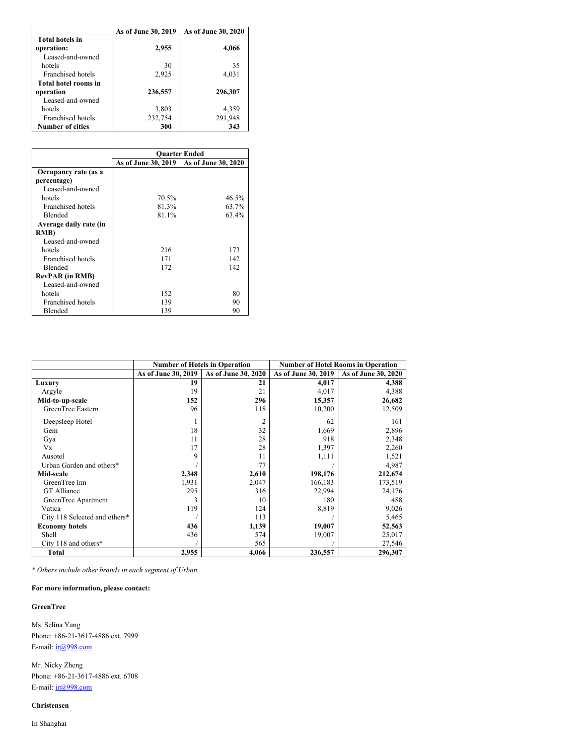|                          | As of June 30, 2019 | As of June 30, 2020 |
|--------------------------|---------------------|---------------------|
| Total hotels in          |                     |                     |
| operation:               | 2,955               | 4,066               |
| Leased-and-owned         |                     |                     |
| hotels                   | 30                  | 35                  |
| Franchised hotels        | 2,925               | 4,031               |
| Total hotel rooms in     |                     |                     |
| operation                | 236,557             | 296,307             |
| Leased-and-owned         |                     |                     |
| hotels                   | 3,803               | 4,359               |
| <b>Franchised hotels</b> | 232,754             | 291,948             |
| <b>Number of cities</b>  | 300                 | 343                 |

|                        | <b>Quarter Ended</b> |                                         |  |  |  |
|------------------------|----------------------|-----------------------------------------|--|--|--|
|                        |                      | As of June 30, 2019 As of June 30, 2020 |  |  |  |
| Occupancy rate (as a   |                      |                                         |  |  |  |
| percentage)            |                      |                                         |  |  |  |
| Leased-and-owned       |                      |                                         |  |  |  |
| hotels                 | 70.5%                | 46.5%                                   |  |  |  |
| Franchised hotels      | 81.3%                | 63.7%                                   |  |  |  |
| Blended                | 81.1%                | 63.4%                                   |  |  |  |
| Average daily rate (in |                      |                                         |  |  |  |
| <b>RMB</b> )           |                      |                                         |  |  |  |
| Leased-and-owned       |                      |                                         |  |  |  |
| hotels                 | 216                  | 173                                     |  |  |  |
| Franchised hotels      | 171                  | 142                                     |  |  |  |
| <b>Blended</b>         | 172                  | 142                                     |  |  |  |
| <b>RevPAR</b> (in RMB) |                      |                                         |  |  |  |
| Leased-and-owned       |                      |                                         |  |  |  |
| hotels                 | 152                  | 80                                      |  |  |  |
| Franchised hotels      | 139                  | 90                                      |  |  |  |
| Blended                | 139                  | 90                                      |  |  |  |

|                               |                     | <b>Number of Hotels in Operation</b> |                     | <b>Number of Hotel Rooms in Operation</b> |
|-------------------------------|---------------------|--------------------------------------|---------------------|-------------------------------------------|
|                               | As of June 30, 2019 | As of June 30, 2020                  | As of June 30, 2019 | As of June 30, 2020                       |
| Luxury                        | 19                  | 21                                   | 4,017               | 4,388                                     |
| Argyle                        | 19                  | 21                                   | 4,017               | 4,388                                     |
| Mid-to-up-scale               | 152                 | 296                                  | 15,357              | 26,682                                    |
| GreenTree Eastern             | 96                  | 118                                  | 10,200              | 12,509                                    |
| Deepsleep Hotel               |                     | 2                                    | 62                  | 161                                       |
| Gem                           | 18                  | 32                                   | 1,669               | 2,896                                     |
| Gya                           | 11                  | 28                                   | 918                 | 2,348                                     |
| Vx                            | 17                  | 28                                   | 1,397               | 2,260                                     |
| Ausotel                       | 9                   | 11                                   | 1,111               | 1,521                                     |
| Urban Garden and others*      |                     | 77                                   |                     | 4,987                                     |
| Mid-scale                     | 2,348               | 2,610                                | 198,176             | 212,674                                   |
| GreenTree Inn                 | 1,931               | 2,047                                | 166,183             | 173,519                                   |
| <b>GT</b> Alliance            | 295                 | 316                                  | 22,994              | 24,176                                    |
| GreenTree Apartment           | 3                   | 10                                   | 180                 | 488                                       |
| Vatica                        | 119                 | 124                                  | 8,819               | 9,026                                     |
| City 118 Selected and others* |                     | 113                                  |                     | 5,465                                     |
| <b>Economy hotels</b>         | 436                 | 1,139                                | 19,007              | 52,563                                    |
| Shell                         | 436                 | 574                                  | 19,007              | 25,017                                    |
| City 118 and others*          |                     | 565                                  |                     | 27,546                                    |
| <b>Total</b>                  | 2,955               | 4,066                                | 236,557             | 296,307                                   |

*\* Others include other brands in each segment of Urban.*

# **For more information, please contact:**

# **GreenTree**

Ms. Selina Yang Phone: +86-21-3617-4886 ext. 7999 E-mail: [ir@998.com](mailto:ir@998.com)

Mr. Nicky Zheng Phone: +86-21-3617-4886 ext. 6708 E-mail: [ir@998.com](mailto:ir@998.com)

# **Christensen**

In Shanghai